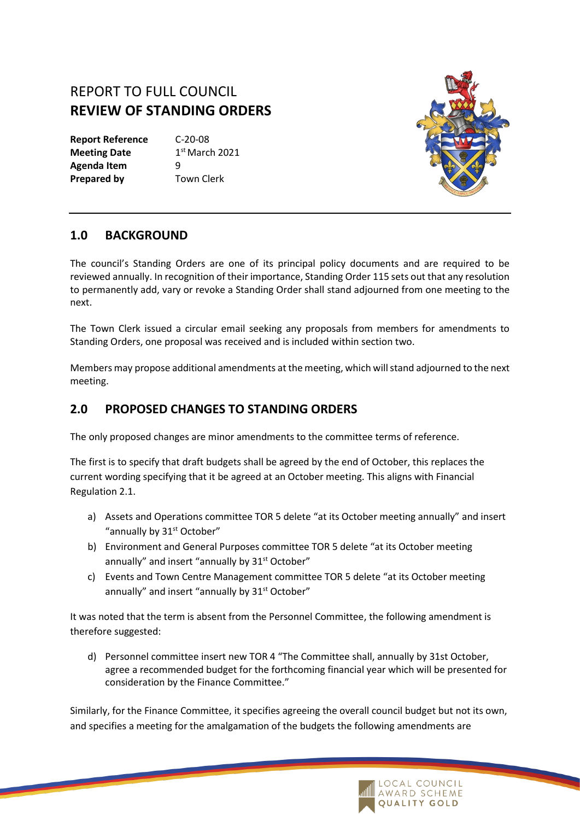## REPORT TO FULL COUNCIL **REVIEW OF STANDING ORDERS**

**Report Reference** C-20-08 **Meeting Date Agenda Item** 9 **Prepared by** Town Clerk

 $1<sup>st</sup>$  March 2021



## **1.0 BACKGROUND**

The council's Standing Orders are one of its principal policy documents and are required to be reviewed annually. In recognition of their importance, Standing Order 115 sets out that any resolution to permanently add, vary or revoke a Standing Order shall stand adjourned from one meeting to the next.

The Town Clerk issued a circular email seeking any proposals from members for amendments to Standing Orders, one proposal was received and is included within section two.

Members may propose additional amendments at the meeting, which will stand adjourned to the next meeting.

## **2.0 PROPOSED CHANGES TO STANDING ORDERS**

The only proposed changes are minor amendments to the committee terms of reference.

The first is to specify that draft budgets shall be agreed by the end of October, this replaces the current wording specifying that it be agreed at an October meeting. This aligns with Financial Regulation 2.1.

- a) Assets and Operations committee TOR 5 delete "at its October meeting annually" and insert "annually by 31<sup>st</sup> October"
- b) Environment and General Purposes committee TOR 5 delete "at its October meeting annually" and insert "annually by 31<sup>st</sup> October"
- c) Events and Town Centre Management committee TOR 5 delete "at its October meeting annually" and insert "annually by 31<sup>st</sup> October"

It was noted that the term is absent from the Personnel Committee, the following amendment is therefore suggested:

d) Personnel committee insert new TOR 4 "The Committee shall, annually by 31st October, agree a recommended budget for the forthcoming financial year which will be presented for consideration by the Finance Committee."

Similarly, for the Finance Committee, it specifies agreeing the overall council budget but not its own, and specifies a meeting for the amalgamation of the budgets the following amendments are